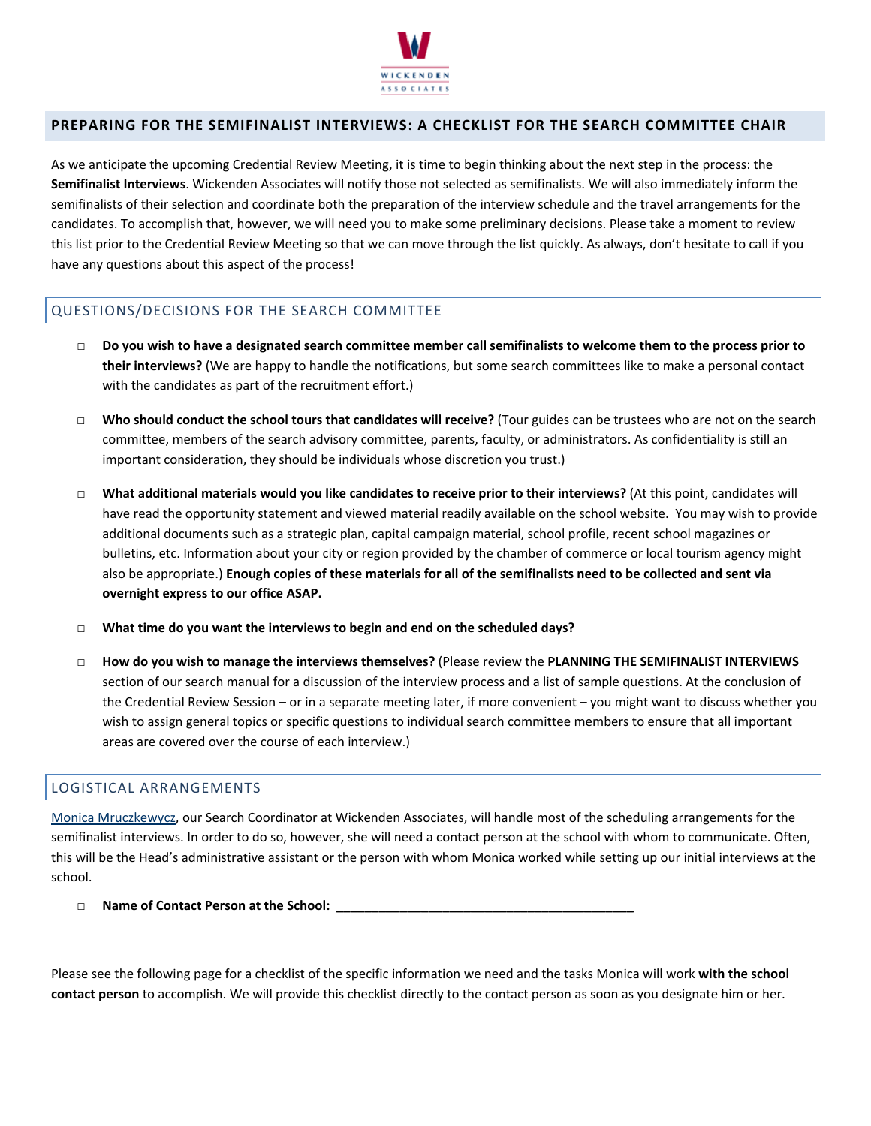

# **PREPARING FOR THE SEMIFINALIST INTERVIEWS: A CHECKLIST FOR THE SEARCH COMMITTEE CHAIR**

As we anticipate the upcoming Credential Review Meeting, it is time to begin thinking about the next step in the process: the **Semifinalist Interviews**. Wickenden Associates will notify those not selected as semifinalists. We will also immediately inform the semifinalists of their selection and coordinate both the preparation of the interview schedule and the travel arrangements for the candidates. To accomplish that, however, we will need you to make some preliminary decisions. Please take a moment to review this list prior to the Credential Review Meeting so that we can move through the list quickly. As always, don't hesitate to call if you have any questions about this aspect of the process!

### QUESTIONS/DECISIONS FOR THE SEARCH COMMITTEE

- □ Do you wish to have a designated search committee member call semifinalists to welcome them to the process prior to **their interviews?** (We are happy to handle the notifications, but some search committees like to make a personal contact with the candidates as part of the recruitment effort.)
- □ **Who should conduct the school tours that candidates will receive?** (Tour guides can be trustees who are not on the search committee, members of the search advisory committee, parents, faculty, or administrators. As confidentiality is still an important consideration, they should be individuals whose discretion you trust.)
- □ **What additional materials would you like candidates to receive prior to their interviews?** (At this point, candidates will have read the opportunity statement and viewed material readily available on the school website. You may wish to provide additional documents such as a strategic plan, capital campaign material, school profile, recent school magazines or bulletins, etc. Information about your city or region provided by the chamber of commerce or local tourism agency might also be appropriate.) Enough copies of these materials for all of the semifinalists need to be collected and sent via **overnight express to our office ASAP.**
- □ **What time do you want the interviews to begin and end on the scheduled days?**
- □ **How do you wish to manage the interviews themselves?** (Please review the **PLANNING THE SEMIFINALIST INTERVIEWS** section of our search manual for a discussion of the interview process and a list of sample questions. At the conclusion of the Credential Review Session – or in a separate meeting later, if more convenient – you might want to discuss whether you wish to assign general topics or specific questions to individual search committee members to ensure that all important areas are covered over the course of each interview.)

### LOGISTICAL ARRANGEMENTS

Monica Mruczkewycz, our Search Coordinator at Wickenden Associates, will handle most of the scheduling arrangements for the semifinalist interviews. In order to do so, however, she will need a contact person at the school with whom to communicate. Often, this will be the Head's administrative assistant or the person with whom Monica worked while setting up our initial interviews at the school.

□ **Name of Contact Person at the School: \_\_\_\_\_\_\_\_\_\_\_\_\_\_\_\_\_\_\_\_\_\_\_\_\_\_\_\_\_\_\_\_\_\_\_\_\_\_\_\_\_\_**

Please see the following page for a checklist of the specific information we need and the tasks Monica will work **with the school contact person** to accomplish. We will provide this checklist directly to the contact person as soon as you designate him or her.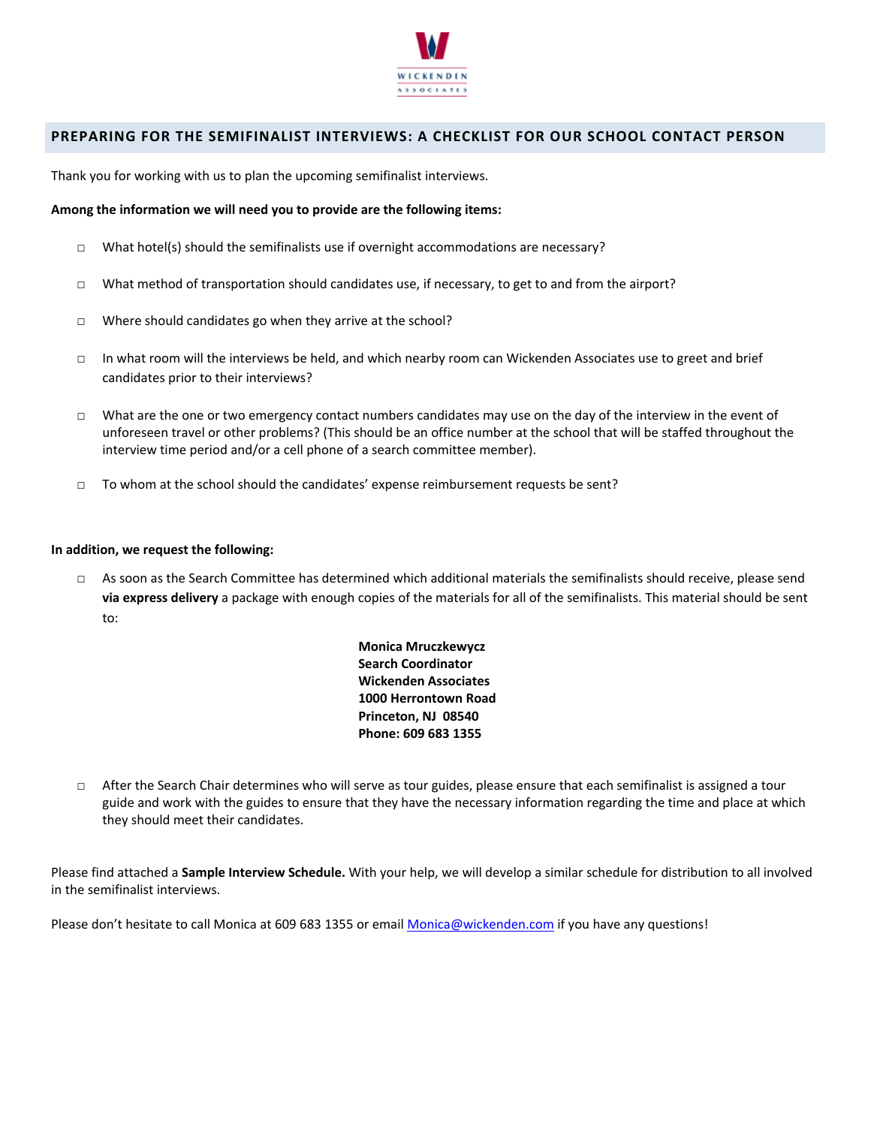

## **PREPARING FOR THE SEMIFINALIST INTERVIEWS: A CHECKLIST FOR OUR SCHOOL CONTACT PERSON**

Thank you for working with us to plan the upcoming semifinalist interviews.

### **Among the information we will need you to provide are the following items:**

- $\Box$  What hotel(s) should the semifinalists use if overnight accommodations are necessary?
- □ What method of transportation should candidates use, if necessary, to get to and from the airport?
- □ Where should candidates go when they arrive at the school?
- □ In what room will the interviews be held, and which nearby room can Wickenden Associates use to greet and brief candidates prior to their interviews?
- □ What are the one or two emergency contact numbers candidates may use on the day of the interview in the event of unforeseen travel or other problems? (This should be an office number at the school that will be staffed throughout the interview time period and/or a cell phone of a search committee member).
- □ To whom at the school should the candidates' expense reimbursement requests be sent?

### **In addition, we request the following:**

□ As soon as the Search Committee has determined which additional materials the semifinalists should receive, please send **via express delivery** a package with enough copies of the materials for all of the semifinalists. This material should be sent to:

> **Monica Mruczkewycz Search Coordinator Wickenden Associates 1000 Herrontown Road Princeton, NJ 08540 Phone: 609 683 1355**

□ After the Search Chair determines who will serve as tour guides, please ensure that each semifinalist is assigned a tour guide and work with the guides to ensure that they have the necessary information regarding the time and place at which they should meet their candidates.

Please find attached a **Sample Interview Schedule.** With your help, we will develop a similar schedule for distribution to all involved in the semifinalist interviews.

Please don't hesitate to call Monica at 609 683 1355 or email Monica@wickenden.com if you have any questions!